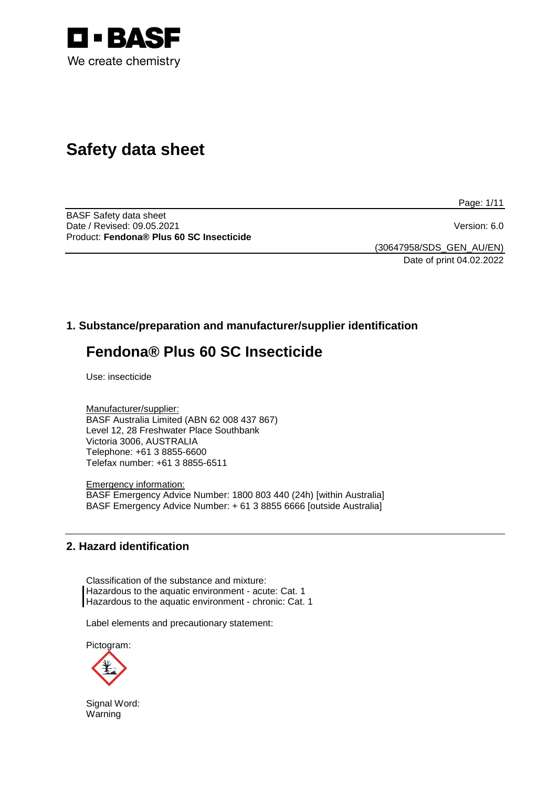

# **Safety data sheet**

Page: 1/11

BASF Safety data sheet Date / Revised: 09.05.2021 Version: 6.0 Product: **Fendona® Plus 60 SC Insecticide**

(30647958/SDS\_GEN\_AU/EN) Date of print 04.02.2022

# **1. Substance/preparation and manufacturer/supplier identification**

# **Fendona® Plus 60 SC Insecticide**

Use: insecticide

Manufacturer/supplier: BASF Australia Limited (ABN 62 008 437 867) Level 12, 28 Freshwater Place Southbank Victoria 3006, AUSTRALIA Telephone: +61 3 8855-6600 Telefax number: +61 3 8855-6511

Emergency information: BASF Emergency Advice Number: 1800 803 440 (24h) [within Australia] BASF Emergency Advice Number: + 61 3 8855 6666 [outside Australia]

## **2. Hazard identification**

Classification of the substance and mixture: Hazardous to the aquatic environment - acute: Cat. 1 Hazardous to the aquatic environment - chronic: Cat. 1

Label elements and precautionary statement:

Pictogram:



Signal Word: Warning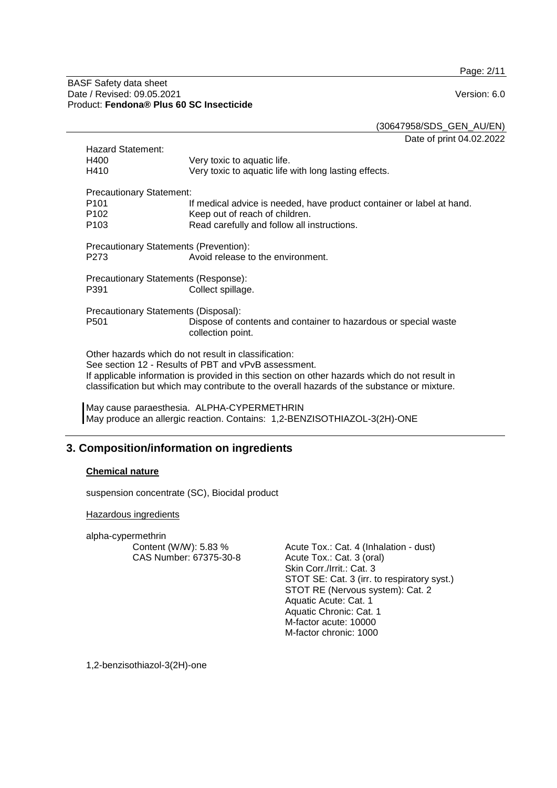Page: 2/11

#### BASF Safety data sheet Date / Revised: 09.05.2021 Version: 6.0 Product: **Fendona® Plus 60 SC Insecticide**

(30647958/SDS\_GEN\_AU/EN)

Date of print 04.02.2022 Hazard Statement:<br>H400 H400 Very toxic to aquatic life.<br>H410 Very toxic to aquatic life Very toxic to aquatic life with long lasting effects. Precautionary Statement:<br><sup>It</sup> P101 If medical advice is needed, have product container or label at hand.<br>P102 Seep out of reach of children. P102 Keep out of reach of children.<br>P103 Read carefully and follow all in Read carefully and follow all instructions. Precautionary Statements (Prevention): P273 Avoid release to the environment. Precautionary Statements (Response): Collect spillage. Precautionary Statements (Disposal):<br>P501 Dispose of co Dispose of contents and container to hazardous or special waste collection point. Other hazards which do not result in classification: See section 12 - Results of PBT and vPvB assessment. If applicable information is provided in this section on other hazards which do not result in classification but which may contribute to the overall hazards of the substance or mixture.

May cause paraesthesia. ALPHA-CYPERMETHRIN May produce an allergic reaction. Contains: 1,2-BENZISOTHIAZOL-3(2H)-ONE

# **3. Composition/information on ingredients**

#### **Chemical nature**

suspension concentrate (SC), Biocidal product

Hazardous ingredients

alpha-cypermethrin Content (W/W): 5.83 % CAS Number: 67375-30-8

Acute Tox.: Cat. 4 (Inhalation - dust) Acute Tox.: Cat. 3 (oral) Skin Corr./Irrit.: Cat. 3 STOT SE: Cat. 3 (irr. to respiratory syst.) STOT RE (Nervous system): Cat. 2 Aquatic Acute: Cat. 1 Aquatic Chronic: Cat. 1 M-factor acute: 10000 M-factor chronic: 1000

1,2-benzisothiazol-3(2H)-one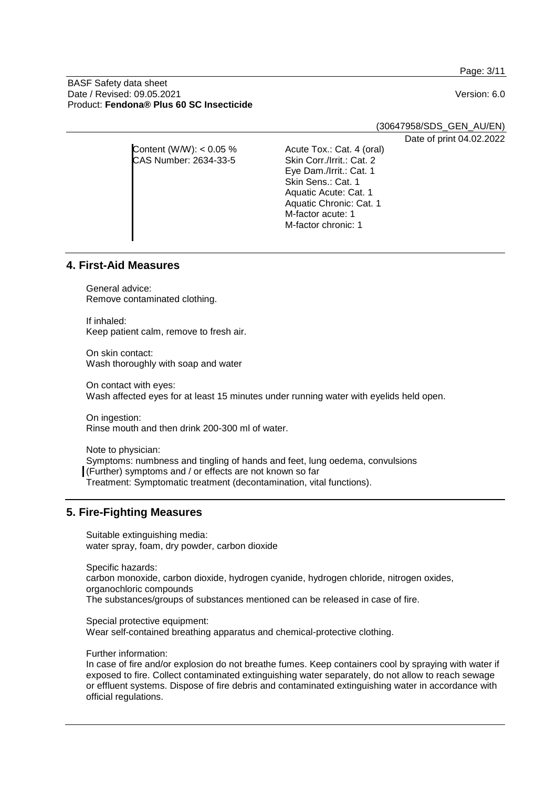Page: 3/11

#### BASF Safety data sheet Date / Revised: 09.05.2021 Version: 6.0 Product: **Fendona® Plus 60 SC Insecticide**

(30647958/SDS\_GEN\_AU/EN)

Date of print 04.02.2022

| Content (W/W): $< 0.05$ % | Acute Tox.: Cat. 4 (oral) |  |
|---------------------------|---------------------------|--|
| CAS Number: 2634-33-5     | Skin Corr./Irrit.: Cat. 2 |  |
|                           | Eye Dam./Irrit.: Cat. 1   |  |
|                           | Skin Sens.: Cat. 1        |  |
|                           | Aquatic Acute: Cat. 1     |  |
|                           | Aquatic Chronic: Cat. 1   |  |
|                           | M-factor acute: 1         |  |
|                           | M-factor chronic: 1       |  |
|                           |                           |  |
|                           |                           |  |

## **4. First-Aid Measures**

General advice: Remove contaminated clothing.

If inhaled: Keep patient calm, remove to fresh air.

On skin contact: Wash thoroughly with soap and water

On contact with eyes: Wash affected eyes for at least 15 minutes under running water with eyelids held open.

On ingestion: Rinse mouth and then drink 200-300 ml of water.

Note to physician: Symptoms: numbness and tingling of hands and feet, lung oedema, convulsions (Further) symptoms and / or effects are not known so far Treatment: Symptomatic treatment (decontamination, vital functions).

# **5. Fire-Fighting Measures**

Suitable extinguishing media: water spray, foam, dry powder, carbon dioxide

Specific hazards: carbon monoxide, carbon dioxide, hydrogen cyanide, hydrogen chloride, nitrogen oxides, organochloric compounds The substances/groups of substances mentioned can be released in case of fire.

Special protective equipment: Wear self-contained breathing apparatus and chemical-protective clothing.

Further information:

In case of fire and/or explosion do not breathe fumes. Keep containers cool by spraying with water if exposed to fire. Collect contaminated extinguishing water separately, do not allow to reach sewage or effluent systems. Dispose of fire debris and contaminated extinguishing water in accordance with official regulations.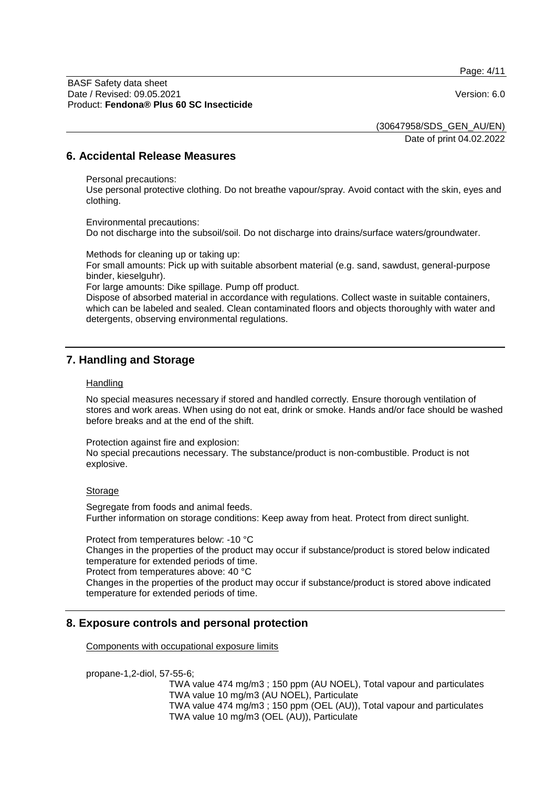Page: 4/11

BASF Safety data sheet Date / Revised: 09.05.2021 Version: 6.0 Product: **Fendona® Plus 60 SC Insecticide**

(30647958/SDS\_GEN\_AU/EN)

Date of print 04.02.2022

### **6. Accidental Release Measures**

Personal precautions:

Use personal protective clothing. Do not breathe vapour/spray. Avoid contact with the skin, eyes and clothing.

Environmental precautions: Do not discharge into the subsoil/soil. Do not discharge into drains/surface waters/groundwater.

Methods for cleaning up or taking up:

For small amounts: Pick up with suitable absorbent material (e.g. sand, sawdust, general-purpose binder, kieselguhr).

For large amounts: Dike spillage. Pump off product.

Dispose of absorbed material in accordance with regulations. Collect waste in suitable containers, which can be labeled and sealed. Clean contaminated floors and objects thoroughly with water and detergents, observing environmental regulations.

## **7. Handling and Storage**

#### **Handling**

No special measures necessary if stored and handled correctly. Ensure thorough ventilation of stores and work areas. When using do not eat, drink or smoke. Hands and/or face should be washed before breaks and at the end of the shift.

Protection against fire and explosion:

No special precautions necessary. The substance/product is non-combustible. Product is not explosive.

#### Storage

Segregate from foods and animal feeds. Further information on storage conditions: Keep away from heat. Protect from direct sunlight.

Protect from temperatures below: -10 °C Changes in the properties of the product may occur if substance/product is stored below indicated temperature for extended periods of time.

Protect from temperatures above: 40 °C

Changes in the properties of the product may occur if substance/product is stored above indicated temperature for extended periods of time.

## **8. Exposure controls and personal protection**

Components with occupational exposure limits

propane-1,2-diol, 57-55-6;

TWA value 474 mg/m3 ; 150 ppm (AU NOEL), Total vapour and particulates TWA value 10 mg/m3 (AU NOEL), Particulate TWA value 474 mg/m3 ; 150 ppm (OEL (AU)), Total vapour and particulates TWA value 10 mg/m3 (OEL (AU)), Particulate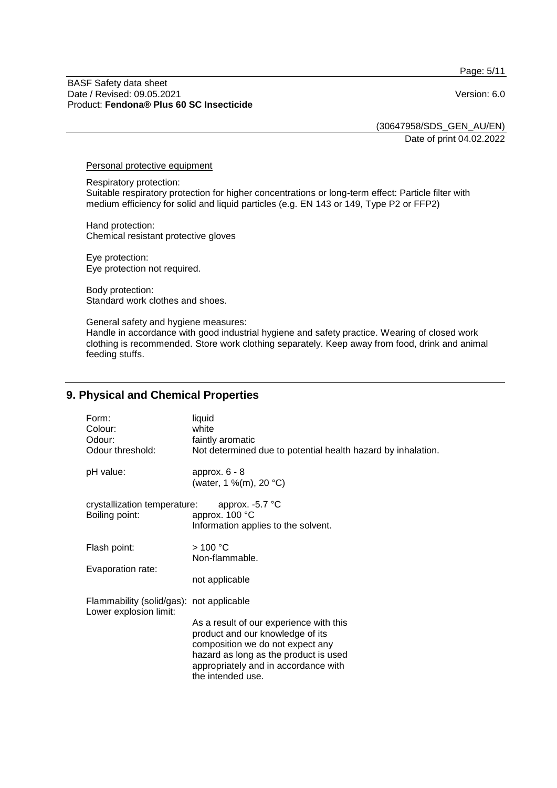Page: 5/11

#### BASF Safety data sheet Date / Revised: 09.05.2021 Version: 6.0 Product: **Fendona® Plus 60 SC Insecticide**

(30647958/SDS\_GEN\_AU/EN)

Date of print 04.02.2022

Personal protective equipment

Respiratory protection: Suitable respiratory protection for higher concentrations or long-term effect: Particle filter with medium efficiency for solid and liquid particles (e.g. EN 143 or 149, Type P2 or FFP2)

Hand protection: Chemical resistant protective gloves

Eye protection: Eye protection not required.

Body protection: Standard work clothes and shoes.

General safety and hygiene measures: Handle in accordance with good industrial hygiene and safety practice. Wearing of closed work clothing is recommended. Store work clothing separately. Keep away from food, drink and animal feeding stuffs.

# **9. Physical and Chemical Properties**

| Form:<br>Colour:<br>Odour:<br>Odour threshold:                     | liquid<br>white<br>faintly aromatic<br>Not determined due to potential health hazard by inhalation.                                                                                                                   |
|--------------------------------------------------------------------|-----------------------------------------------------------------------------------------------------------------------------------------------------------------------------------------------------------------------|
| pH value:                                                          | approx. $6 - 8$<br>(water, 1 %(m), 20 °C)                                                                                                                                                                             |
| crystallization temperature:<br>Boiling point:                     | approx. $-5.7$ °C<br>approx. 100 °C<br>Information applies to the solvent.                                                                                                                                            |
| Flash point:<br>Evaporation rate:                                  | >100 °C<br>Non-flammable.<br>not applicable                                                                                                                                                                           |
| Flammability (solid/gas): not applicable<br>Lower explosion limit: | As a result of our experience with this<br>product and our knowledge of its<br>composition we do not expect any<br>hazard as long as the product is used<br>appropriately and in accordance with<br>the intended use. |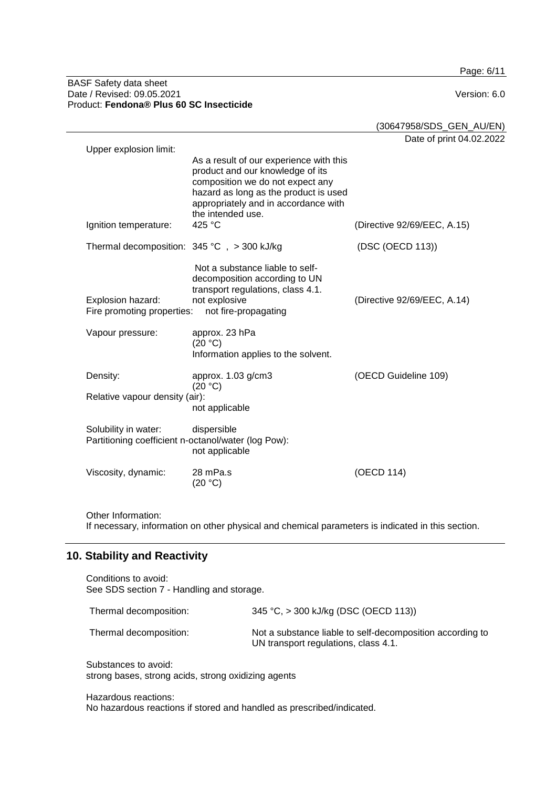Page: 6/11

#### BASF Safety data sheet Date / Revised: 09.05.2021 Version: 6.0 Product: **Fendona® Plus 60 SC Insecticide**

|                                                     |                                                                                                                                                                                                                       | (30647958/SDS_GEN_AU/EN)    |
|-----------------------------------------------------|-----------------------------------------------------------------------------------------------------------------------------------------------------------------------------------------------------------------------|-----------------------------|
| Upper explosion limit:                              |                                                                                                                                                                                                                       | Date of print 04.02.2022    |
|                                                     | As a result of our experience with this<br>product and our knowledge of its<br>composition we do not expect any<br>hazard as long as the product is used<br>appropriately and in accordance with<br>the intended use. |                             |
| Ignition temperature:                               | 425 °C                                                                                                                                                                                                                | (Directive 92/69/EEC, A.15) |
| Thermal decomposition: $345^{\circ}$ C, > 300 kJ/kg |                                                                                                                                                                                                                       | (DSC (OECD 113))            |
| Explosion hazard:<br>Fire promoting properties:     | Not a substance liable to self-<br>decomposition according to UN<br>transport regulations, class 4.1.<br>not explosive<br>not fire-propagating                                                                        | (Directive 92/69/EEC, A.14) |
| Vapour pressure:                                    | approx. 23 hPa<br>(20 °C)<br>Information applies to the solvent.                                                                                                                                                      |                             |
| Density:                                            | approx. 1.03 g/cm3<br>(20 °C)                                                                                                                                                                                         | (OECD Guideline 109)        |
| Relative vapour density (air):                      | not applicable                                                                                                                                                                                                        |                             |
| Solubility in water:                                | dispersible<br>Partitioning coefficient n-octanol/water (log Pow):<br>not applicable                                                                                                                                  |                             |
| Viscosity, dynamic:                                 | 28 mPa.s<br>(20 °C)                                                                                                                                                                                                   | (OECD 114)                  |

Other Information: If necessary, information on other physical and chemical parameters is indicated in this section.

# **10. Stability and Reactivity**

Conditions to avoid: See SDS section 7 - Handling and storage. Thermal decomposition: 345 °C, > 300 kJ/kg (DSC (OECD 113)) Thermal decomposition: Not a substance liable to self-decomposition according to UN transport regulations, class 4.1.

Substances to avoid: strong bases, strong acids, strong oxidizing agents

Hazardous reactions:

No hazardous reactions if stored and handled as prescribed/indicated.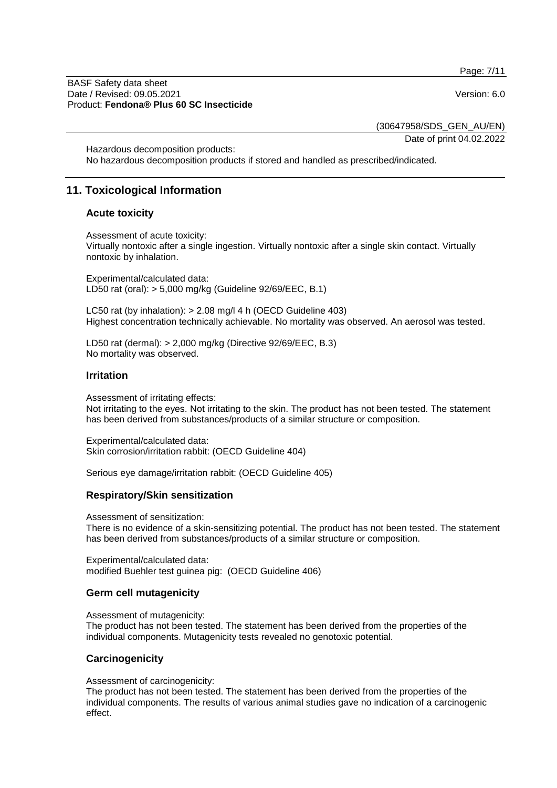Page: 7/11

#### BASF Safety data sheet Date / Revised: 09.05.2021 Version: 6.0 Product: **Fendona® Plus 60 SC Insecticide**

(30647958/SDS\_GEN\_AU/EN)

Date of print 04.02.2022

Hazardous decomposition products: No hazardous decomposition products if stored and handled as prescribed/indicated.

# **11. Toxicological Information**

### **Acute toxicity**

Assessment of acute toxicity: Virtually nontoxic after a single ingestion. Virtually nontoxic after a single skin contact. Virtually nontoxic by inhalation.

Experimental/calculated data: LD50 rat (oral): > 5,000 mg/kg (Guideline 92/69/EEC, B.1)

LC50 rat (by inhalation): > 2.08 mg/l 4 h (OECD Guideline 403) Highest concentration technically achievable. No mortality was observed. An aerosol was tested.

LD50 rat (dermal): > 2,000 mg/kg (Directive 92/69/EEC, B.3) No mortality was observed.

#### **Irritation**

Assessment of irritating effects:

Not irritating to the eyes. Not irritating to the skin. The product has not been tested. The statement has been derived from substances/products of a similar structure or composition.

Experimental/calculated data: Skin corrosion/irritation rabbit: (OECD Guideline 404)

Serious eye damage/irritation rabbit: (OECD Guideline 405)

#### **Respiratory/Skin sensitization**

Assessment of sensitization:

There is no evidence of a skin-sensitizing potential. The product has not been tested. The statement has been derived from substances/products of a similar structure or composition.

Experimental/calculated data: modified Buehler test guinea pig: (OECD Guideline 406)

#### **Germ cell mutagenicity**

Assessment of mutagenicity:

The product has not been tested. The statement has been derived from the properties of the individual components. Mutagenicity tests revealed no genotoxic potential.

## **Carcinogenicity**

Assessment of carcinogenicity:

The product has not been tested. The statement has been derived from the properties of the individual components. The results of various animal studies gave no indication of a carcinogenic effect.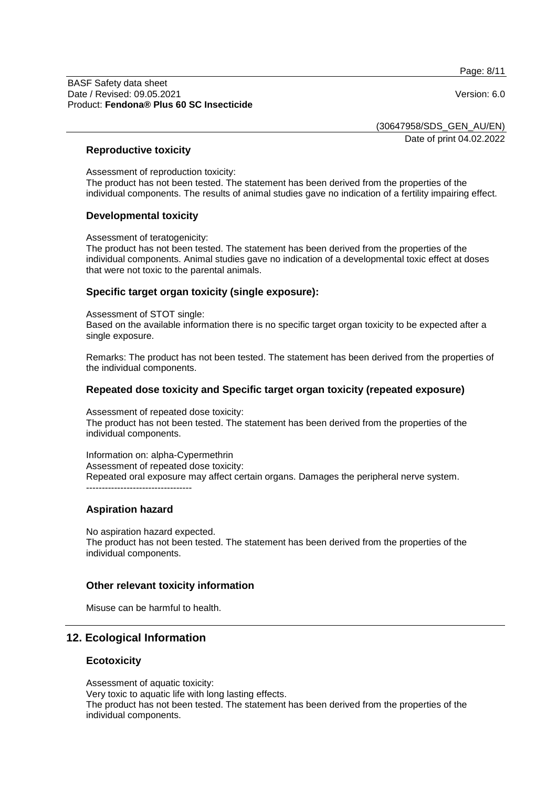Page: 8/11

#### BASF Safety data sheet Date / Revised: 09.05.2021 Version: 6.0 Product: **Fendona® Plus 60 SC Insecticide**

(30647958/SDS\_GEN\_AU/EN)

Date of print 04.02.2022

### **Reproductive toxicity**

Assessment of reproduction toxicity: The product has not been tested. The statement has been derived from the properties of the individual components. The results of animal studies gave no indication of a fertility impairing effect.

### **Developmental toxicity**

Assessment of teratogenicity:

The product has not been tested. The statement has been derived from the properties of the individual components. Animal studies gave no indication of a developmental toxic effect at doses that were not toxic to the parental animals.

## **Specific target organ toxicity (single exposure):**

Assessment of STOT single:

Based on the available information there is no specific target organ toxicity to be expected after a single exposure.

Remarks: The product has not been tested. The statement has been derived from the properties of the individual components.

### **Repeated dose toxicity and Specific target organ toxicity (repeated exposure)**

Assessment of repeated dose toxicity: The product has not been tested. The statement has been derived from the properties of the individual components.

Information on: alpha-Cypermethrin Assessment of repeated dose toxicity: Repeated oral exposure may affect certain organs. Damages the peripheral nerve system. ----------------------------------

#### **Aspiration hazard**

No aspiration hazard expected. The product has not been tested. The statement has been derived from the properties of the individual components.

#### **Other relevant toxicity information**

Misuse can be harmful to health.

## **12. Ecological Information**

#### **Ecotoxicity**

Assessment of aquatic toxicity: Very toxic to aquatic life with long lasting effects. The product has not been tested. The statement has been derived from the properties of the individual components.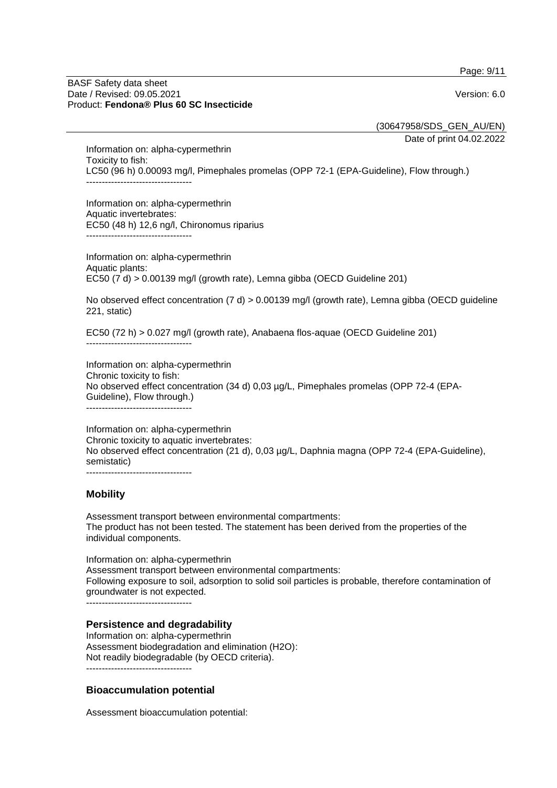Page: 9/11

#### BASF Safety data sheet Date / Revised: 09.05.2021 Version: 6.0 Product: **Fendona® Plus 60 SC Insecticide**

(30647958/SDS\_GEN\_AU/EN)

Date of print 04.02.2022

Information on: alpha-cypermethrin Toxicity to fish: LC50 (96 h) 0.00093 mg/l, Pimephales promelas (OPP 72-1 (EPA-Guideline), Flow through.) ----------------------------------

Information on: alpha-cypermethrin Aquatic invertebrates: EC50 (48 h) 12,6 ng/l, Chironomus riparius ----------------------------------

Information on: alpha-cypermethrin Aquatic plants: EC50 (7 d) > 0.00139 mg/l (growth rate), Lemna gibba (OECD Guideline 201)

No observed effect concentration (7 d) > 0.00139 mg/l (growth rate), Lemna gibba (OECD guideline 221, static)

EC50 (72 h) > 0.027 mg/l (growth rate), Anabaena flos-aquae (OECD Guideline 201)

Information on: alpha-cypermethrin Chronic toxicity to fish: No observed effect concentration (34 d) 0,03 µg/L, Pimephales promelas (OPP 72-4 (EPA-Guideline), Flow through.)

----------------------------------

----------------------------------

Information on: alpha-cypermethrin Chronic toxicity to aquatic invertebrates: No observed effect concentration (21 d), 0,03 µg/L, Daphnia magna (OPP 72-4 (EPA-Guideline), semistatic) ----------------------------------

## **Mobility**

Assessment transport between environmental compartments: The product has not been tested. The statement has been derived from the properties of the individual components.

Information on: alpha-cypermethrin Assessment transport between environmental compartments: Following exposure to soil, adsorption to solid soil particles is probable, therefore contamination of groundwater is not expected.

----------------------------------

#### **Persistence and degradability**

Information on: alpha-cypermethrin Assessment biodegradation and elimination (H2O): Not readily biodegradable (by OECD criteria). ----------------------------------

#### **Bioaccumulation potential**

Assessment bioaccumulation potential: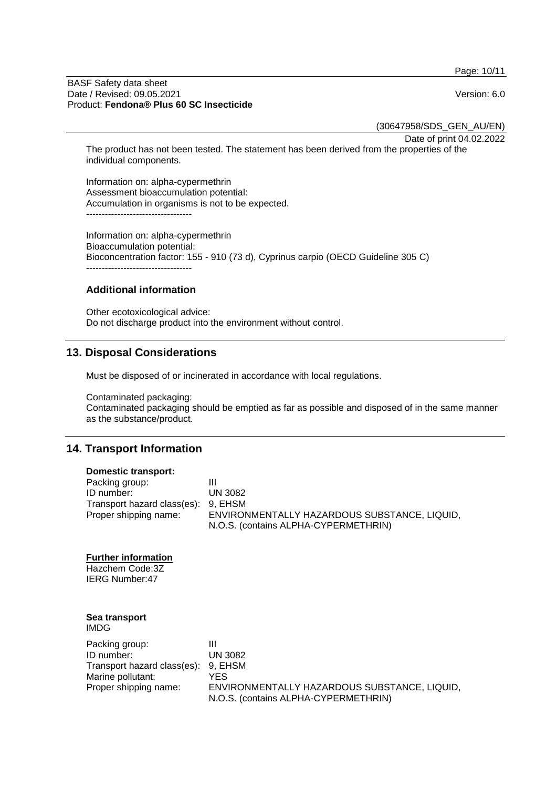Page: 10/11

#### BASF Safety data sheet Date / Revised: 09.05.2021 Version: 6.0 Product: **Fendona® Plus 60 SC Insecticide**

(30647958/SDS\_GEN\_AU/EN)

Date of print 04.02.2022

The product has not been tested. The statement has been derived from the properties of the individual components.

Information on: alpha-cypermethrin Assessment bioaccumulation potential: Accumulation in organisms is not to be expected. ----------------------------------

Information on: alpha-cypermethrin Bioaccumulation potential: Bioconcentration factor: 155 - 910 (73 d), Cyprinus carpio (OECD Guideline 305 C) ----------------------------------

## **Additional information**

Other ecotoxicological advice: Do not discharge product into the environment without control.

# **13. Disposal Considerations**

Must be disposed of or incinerated in accordance with local regulations.

Contaminated packaging:

Contaminated packaging should be emptied as far as possible and disposed of in the same manner as the substance/product.

## **14. Transport Information**

#### **Domestic transport:**

| Packing group:                      | Ш                                            |
|-------------------------------------|----------------------------------------------|
| ID number:                          | UN 3082                                      |
| Transport hazard class(es): 9, EHSM |                                              |
| Proper shipping name:               | ENVIRONMENTALLY HAZARDOUS SUBSTANCE, LIQUID, |
|                                     | N.O.S. (contains ALPHA-CYPERMETHRIN)         |

#### **Further information**

Hazchem Code:3Z IERG Number:47

#### **Sea transport** IMDG

| Packing group:                      |                                                                                      |
|-------------------------------------|--------------------------------------------------------------------------------------|
| ID number:                          | UN 3082                                                                              |
| Transport hazard class(es): 9, EHSM |                                                                                      |
| Marine pollutant:                   | YES                                                                                  |
| Proper shipping name:               | ENVIRONMENTALLY HAZARDOUS SUBSTANCE, LIQUID,<br>N.O.S. (contains ALPHA-CYPERMETHRIN) |